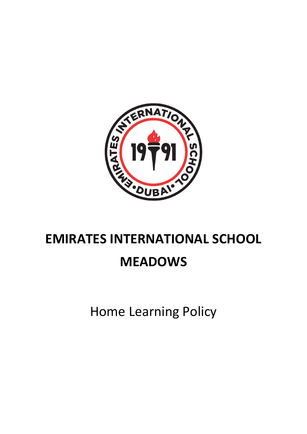

# **EMIRATES INTERNATIONAL SCHOOL**

## **MEADOWS**

Home Learning Policy